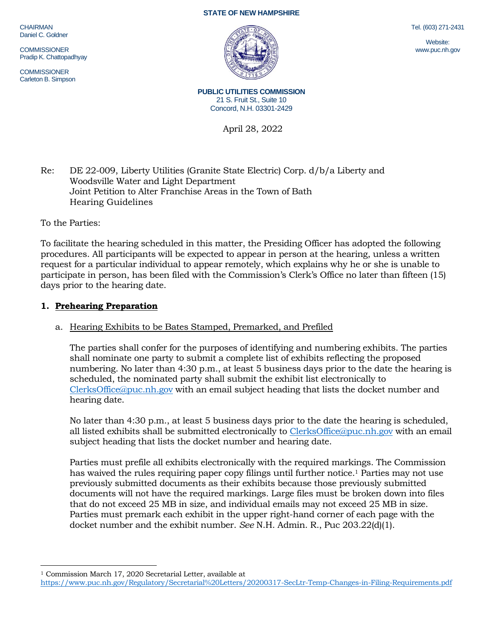CHAIRMAN Daniel C. Goldner

**COMMISSIONER** Pradip K. Chattopadhyay

COMMISSIONER Carleton B. Simpson





**PUBLIC UTILITIES COMMISSION** 21 S. Fruit St., Suite 10 Concord, N.H. 03301-2429

April 28, 2022

Re: DE 22-009, Liberty Utilities (Granite State Electric) Corp. d/b/a Liberty and Woodsville Water and Light Department Joint Petition to Alter Franchise Areas in the Town of Bath Hearing Guidelines

To the Parties:

To facilitate the hearing scheduled in this matter, the Presiding Officer has adopted the following procedures. All participants will be expected to appear in person at the hearing, unless a written request for a particular individual to appear remotely, which explains why he or she is unable to participate in person, has been filed with the Commission's Clerk's Office no later than fifteen (15) days prior to the hearing date.

# **1. Prehearing Preparation**

## a. Hearing Exhibits to be Bates Stamped, Premarked, and Prefiled

The parties shall confer for the purposes of identifying and numbering exhibits. The parties shall nominate one party to submit a complete list of exhibits reflecting the proposed numbering. No later than 4:30 p.m., at least 5 business days prior to the date the hearing is scheduled, the nominated party shall submit the exhibit list electronically to [ClerksOffice@puc.nh.gov](mailto:ClerksOffice@puc.nh.gov) with an email subject heading that lists the docket number and hearing date.

No later than 4:30 p.m., at least 5 business days prior to the date the hearing is scheduled, all listed exhibits shall be submitted electronically to [ClerksOffice@puc.nh.gov](mailto:Clerks.Office@puc.nh.gov) with an email subject heading that lists the docket number and hearing date.

Parties must prefile all exhibits electronically with the required markings. The Commission has waived the rules requiring paper copy filings until further notice. <sup>1</sup> Parties may not use previously submitted documents as their exhibits because those previously submitted documents will not have the required markings. Large files must be broken down into files that do not exceed 25 MB in size, and individual emails may not exceed 25 MB in size. Parties must premark each exhibit in the upper right-hand corner of each page with the docket number and the exhibit number. *See* N.H. Admin. R., Puc 203.22(d)(1).

Tel. (603) 271-2431

Website: www.puc.nh.gov

<sup>1</sup> Commission March 17, 2020 Secretarial Letter, available at

<https://www.puc.nh.gov/Regulatory/Secretarial%20Letters/20200317-SecLtr-Temp-Changes-in-Filing-Requirements.pdf>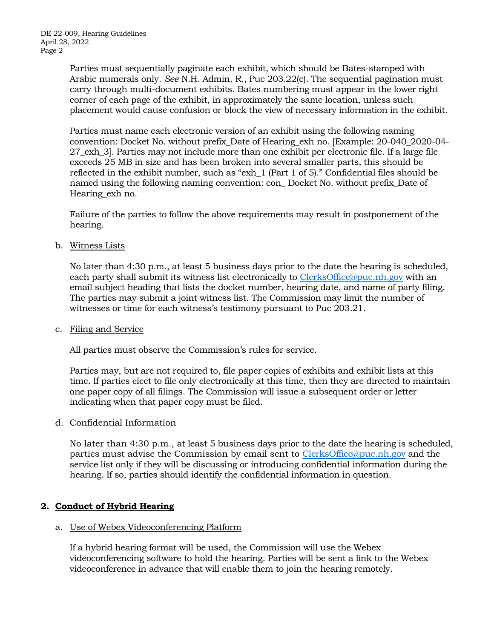Parties must sequentially paginate each exhibit, which should be Bates-stamped with Arabic numerals only. *See* N.H. Admin. R., Puc 203.22(c). The sequential pagination must carry through multi-document exhibits. Bates numbering must appear in the lower right corner of each page of the exhibit, in approximately the same location, unless such placement would cause confusion or block the view of necessary information in the exhibit.

Parties must name each electronic version of an exhibit using the following naming convention: Docket No. without prefix\_Date of Hearing\_exh no. [Example: 20-040\_2020-04- 27\_exh\_3]. Parties may not include more than one exhibit per electronic file. If a large file exceeds 25 MB in size and has been broken into several smaller parts, this should be reflected in the exhibit number, such as "exh\_1 (Part 1 of 5)." Confidential files should be named using the following naming convention: con\_ Docket No. without prefix\_Date of Hearing exh no.

Failure of the parties to follow the above requirements may result in postponement of the hearing.

b. Witness Lists

No later than 4:30 p.m., at least 5 business days prior to the date the hearing is scheduled, each party shall submit its witness list electronically to [ClerksOffice@puc.nh.gov](mailto:Clerks.Office@puc.nh.gov) with an email subject heading that lists the docket number, hearing date, and name of party filing. The parties may submit a joint witness list. The Commission may limit the number of witnesses or time for each witness's testimony pursuant to Puc 203.21.

c. Filing and Service

All parties must observe the Commission's rules for service.

Parties may, but are not required to, file paper copies of exhibits and exhibit lists at this time. If parties elect to file only electronically at this time, then they are directed to maintain one paper copy of all filings. The Commission will issue a subsequent order or letter indicating when that paper copy must be filed.

d. Confidential Information

No later than 4:30 p.m., at least 5 business days prior to the date the hearing is scheduled, parties must advise the Commission by email sent to [ClerksOffice@puc.nh.gov](mailto:Clerks.Office@puc.nh.gov) and the service list only if they will be discussing or introducing confidential information during the hearing. If so, parties should identify the confidential information in question.

## **2. Conduct of Hybrid Hearing**

## a. Use of Webex Videoconferencing Platform

If a hybrid hearing format will be used, the Commission will use the Webex videoconferencing software to hold the hearing. Parties will be sent a link to the Webex videoconference in advance that will enable them to join the hearing remotely.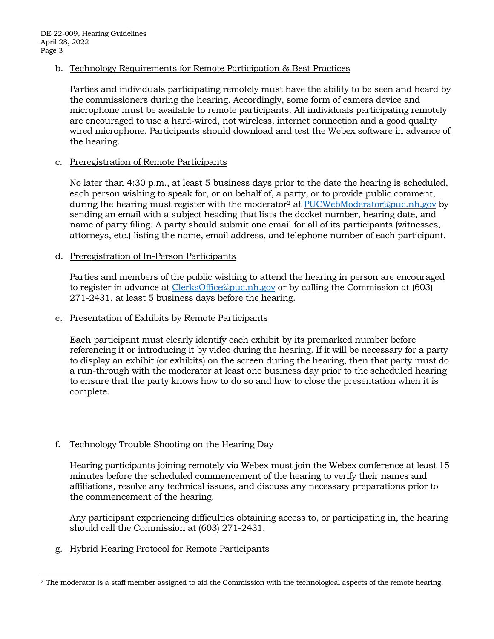b. Technology Requirements for Remote Participation & Best Practices

Parties and individuals participating remotely must have the ability to be seen and heard by the commissioners during the hearing. Accordingly, some form of camera device and microphone must be available to remote participants. All individuals participating remotely are encouraged to use a hard-wired, not wireless, internet connection and a good quality wired microphone. Participants should download and test the Webex software in advance of the hearing.

### c. Preregistration of Remote Participants

No later than 4:30 p.m., at least 5 business days prior to the date the hearing is scheduled, each person wishing to speak for, or on behalf of, a party, or to provide public comment, during the hearing must register with the moderator<sup>2</sup> at [PUCWebModerator@puc.nh.gov](mailto:PUCWebModerator@puc.nh.gov) by sending an email with a subject heading that lists the docket number, hearing date, and name of party filing. A party should submit one email for all of its participants (witnesses, attorneys, etc.) listing the name, email address, and telephone number of each participant.

### d. Preregistration of In-Person Participants

Parties and members of the public wishing to attend the hearing in person are encouraged to register in advance at [ClerksOffice@puc.nh.gov](mailto:Clerks.Office@puc.nh.gov) or by calling the Commission at (603) 271-2431, at least 5 business days before the hearing.

#### e. Presentation of Exhibits by Remote Participants

Each participant must clearly identify each exhibit by its premarked number before referencing it or introducing it by video during the hearing. If it will be necessary for a party to display an exhibit (or exhibits) on the screen during the hearing, then that party must do a run-through with the moderator at least one business day prior to the scheduled hearing to ensure that the party knows how to do so and how to close the presentation when it is complete.

## f. Technology Trouble Shooting on the Hearing Day

Hearing participants joining remotely via Webex must join the Webex conference at least 15 minutes before the scheduled commencement of the hearing to verify their names and affiliations, resolve any technical issues, and discuss any necessary preparations prior to the commencement of the hearing.

Any participant experiencing difficulties obtaining access to, or participating in, the hearing should call the Commission at (603) 271-2431.

g. Hybrid Hearing Protocol for Remote Participants

<sup>&</sup>lt;sup>2</sup> The moderator is a staff member assigned to aid the Commission with the technological aspects of the remote hearing.